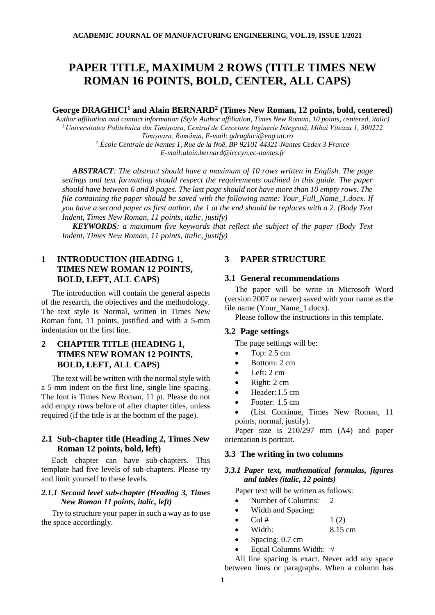# **PAPER TITLE, MAXIMUM 2 ROWS (TITLE TIMES NEW ROMAN 16 POINTS, BOLD, CENTER, ALL CAPS)**

## **George DRAGHICI<sup>1</sup> and Alain BERNARD<sup>2</sup> (Times New Roman, 12 points, bold, centered)**

*Author affiliation and contact information (Style Author affiliation, Times New Roman, 10 points, centered, italic) <sup>1</sup>Universitatea Politehnica din Timişoara, Centrul de Cercetare Inginerie Integrată, Mihai Viteazu 1, 300222 Timişoara, România, E-mail: gdraghici@eng.utt.ro <sup>2</sup> École Centrale de Nantes 1, Rue de la Noë, BP 92101 44321-Nantes Cedex 3 France*

*E-mail:alain.bernard@irccyn.ec-nantes.fr*

*ABSTRACT: The abstract should have a maximum of 10 rows written in English. The page settings and text formatting should respect the requirements outlined in this guide. The paper should have between 6 and 8 pages. The last page should not have more than 10 empty rows. The file containing the paper should be saved with the following name: Your\_Full\_Name\_1.docx. If you have a second paper as first author, the 1 at the end should be replaces with a 2. (Body Text Indent, Times New Roman, 11 points, italic, justify)*

*KEYWORDS: a maximum five keywords that reflect the subject of the paper (Body Text Indent, Times New Roman, 11 points, italic, justify)*

# **1 INTRODUCTION (HEADING 1, TIMES NEW ROMAN 12 POINTS, BOLD, LEFT, ALL CAPS)**

The introduction will contain the general aspects of the research, the objectives and the methodology. The text style is Normal, written in Times New Roman font, 11 points, justified and with a 5-mm indentation on the first line.

# **2 CHAPTER TITLE (HEADING 1, TIMES NEW ROMAN 12 POINTS, BOLD, LEFT, ALL CAPS)**

The text will be written with the normal style with a 5-mm indent on the first line, single line spacing. The font is Times New Roman, 11 pt. Please do not add empty rows before of after chapter titles, unless required (if the title is at the bottom of the page).

## **2.1 Sub-chapter title (Heading 2, Times New Roman 12 points, bold, left)**

Each chapter can have sub-chapters. This template had five levels of sub-chapters. Please try and limit yourself to these levels.

# *2.1.1 Second level sub-chapter (Heading 3, Times New Roman 11 points, italic, left)*

Try to structure your paper in such a way as to use the space accordingly.

## **3 PAPER STRUCTURE**

#### **3.1 General recommendations**

The paper will be write in Microsoft Word (version 2007 or newer) saved with your name as the file name (Your\_Name\_1.docx).

Please follow the instructions in this template.

## **3.2 Page settings**

The page settings will be:

- Top: 2.5 cm
- Bottom: 2 cm
- Left: 2 cm
- Right: 2 cm
- Header:1.5 cm
- Footer: 1.5 cm
- (List Continue, Times New Roman, 11 points, normal, justify).

Paper size is 210/297 mm (A4) and paper orientation is portrait.

#### **3.3 The writing in two columns**

## *3.3.1 Paper text, mathematical formulas, figures and tables (italic, 12 points)*

Paper text will be written as follows:

- Number of Columns: 2
- Width and Spacing:
- $\text{Col } \#$  1 (2)
- Width: 8.15 cm
- Spacing: 0.7 cm
- Equal Columns Width:  $\sqrt{}$

All line spacing is exact. Never add any space between lines or paragraphs. When a column has